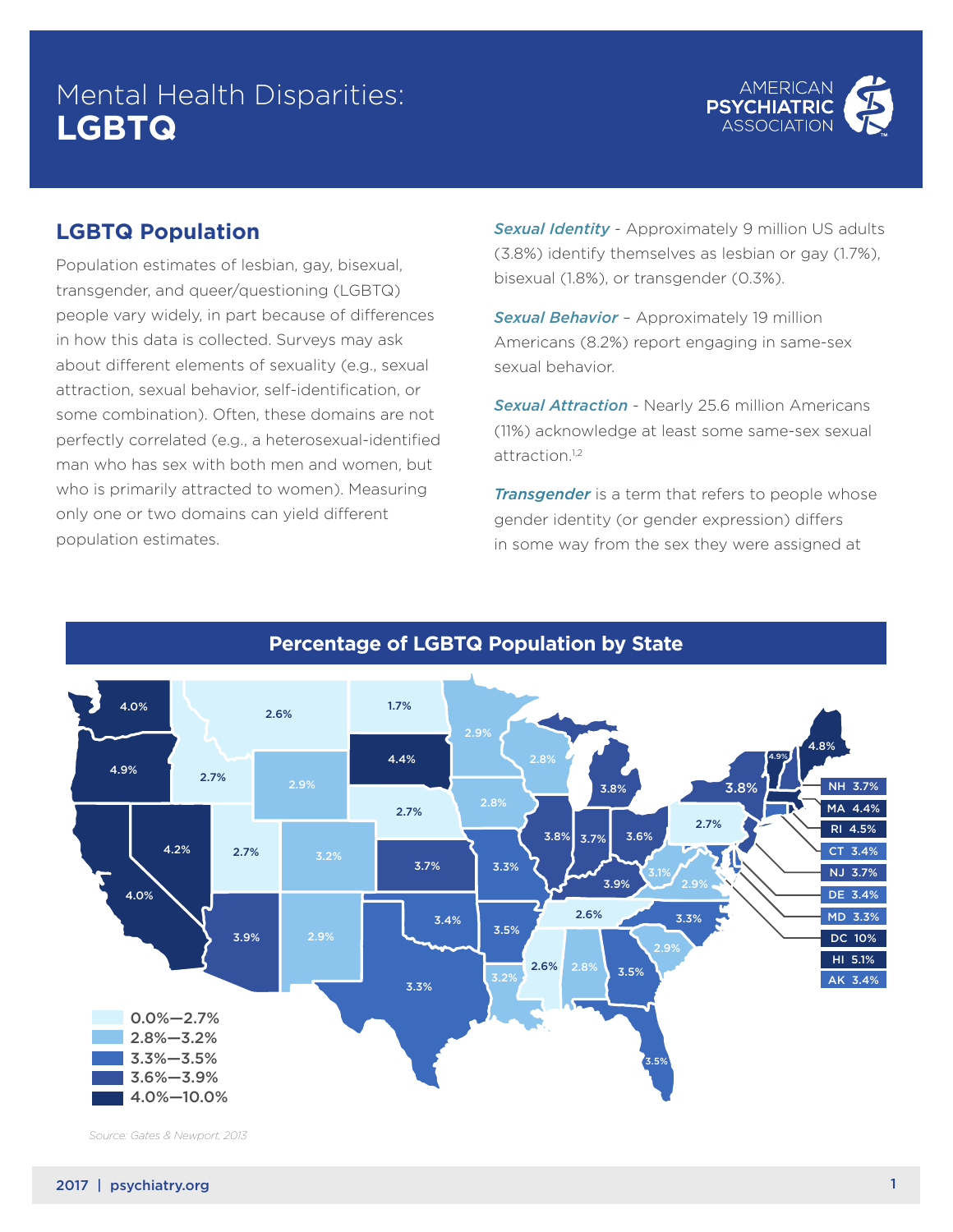# Mental Health Disparities: **LGBTQ**



### **LGBTQ Population**

Population estimates of lesbian, gay, bisexual, transgender, and queer/questioning (LGBTQ) people vary widely, in part because of differences in how this data is collected. Surveys may ask about different elements of sexuality (e.g., sexual attraction, sexual behavior, self-identification, or some combination). Often, these domains are not perfectly correlated (e.g., a heterosexual-identified man who has sex with both men and women, but who is primarily attracted to women). Measuring only one or two domains can yield different population estimates. Percentage of LGBT Population by State

**Sexual Identity** - Approximately 9 million US adults (3.8%) identify themselves as lesbian or gay (1.7%), bisexual (1.8%), or transgender (0.3%).

**Sexual Behavior** - Approximately 19 million Americans (8.2%) report engaging in same-sex sexual behavior.

*Sexual Attraction* - Nearly 25.6 million Americans (11%) acknowledge at least some same-sex sexual attraction.<sup>1,2</sup>

*Transgender* is a term that refers to people whose gender identity (or gender expression) differs in some way from the sex they were assigned at



**Percentage of LGBTQ Population by State**

*Source: Gates & Newport, 2013*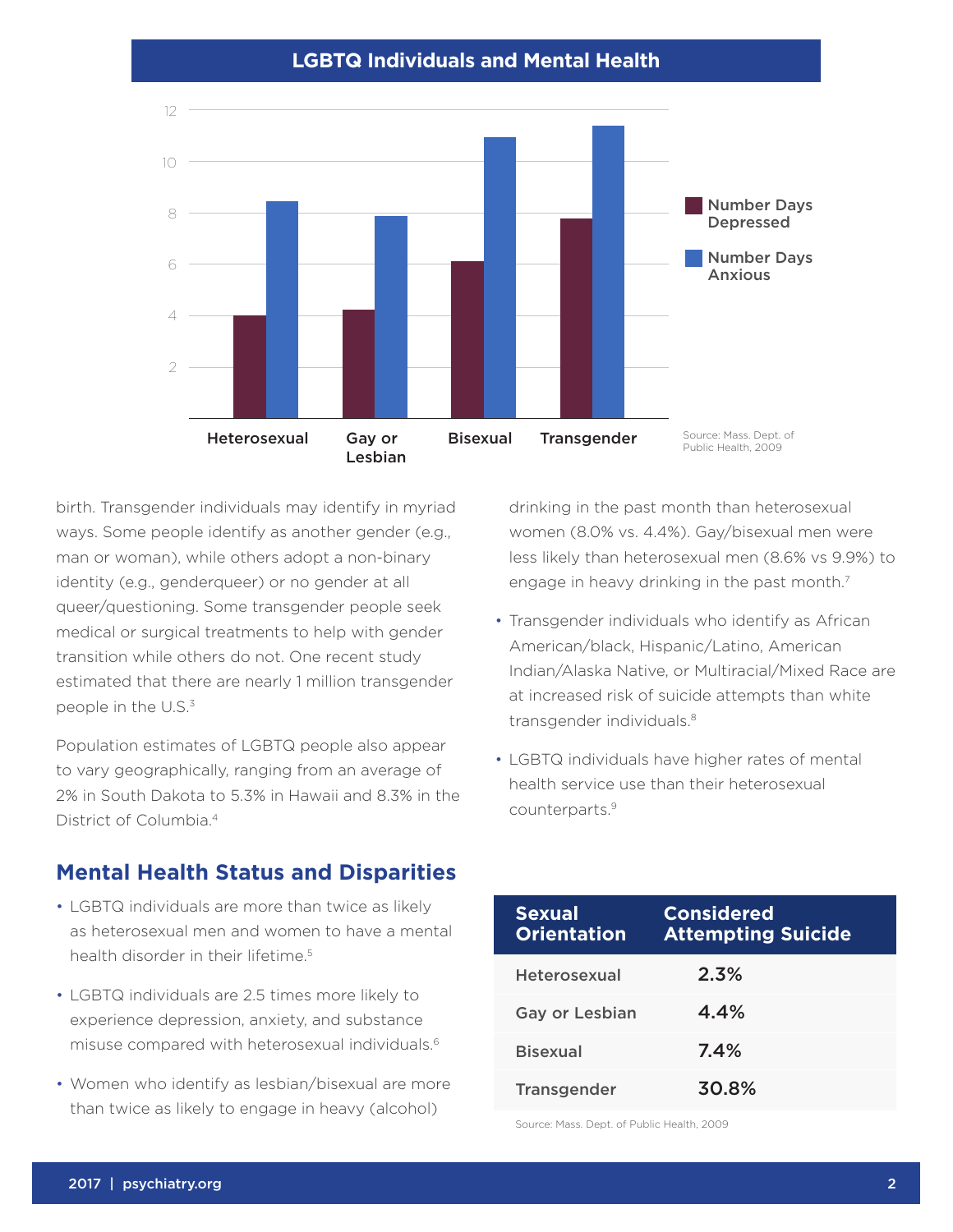#### $L_{\rm B}$  is a discrete mass of  $\Delta E$  individuals and  $\Delta E$ **LGBTQ Individuals and Mental Health**



birth. Transgender individuals may identify in myriad ways. Some people identify as another gender (e.g., man or woman), while others adopt a non-binary identity (e.g., genderqueer) or no gender at all queer/questioning. Some transgender people seek medical or surgical treatments to help with gender transition while others do not. One recent study estimated that there are nearly 1 million transgender people in the U.S.3

Population estimates of LGBTQ people also appear to vary geographically, ranging from an average of 2% in South Dakota to 5.3% in Hawaii and 8.3% in the District of Columbia.4

### **Mental Health Status and Disparities**

- LGBTQ individuals are more than twice as likely as heterosexual men and women to have a mental health disorder in their lifetime.<sup>5</sup>
- LGBTQ individuals are 2.5 times more likely to experience depression, anxiety, and substance misuse compared with heterosexual individuals.6
- Women who identify as lesbian/bisexual are more than twice as likely to engage in heavy (alcohol)

drinking in the past month than heterosexual **Sexual** women (8.0% vs. 4.4%). Gay/bisexual men were **or Very Good** less likely than heterosexual men (8.6% vs 9.9%) to engage in heavy drinking in the past month.<sup>7</sup> **Orientation** Gay or Lesbian month than hotorosoxual  $\overline{\phantom{a}}$ 

- Transgender individuals who identify as African American/black, Hispanic/Latino, American Bisexual 74% Indian/Alaska Native, or Multiracial/Mixed Race are at increased risk of suicide attempts than white transgender individuals.<sup>8</sup>
- LGBTQ individuals have higher rates of mental health service use than their heterosexual counterparts.9

| <b>Sexual</b><br><b>Orientation</b> | <b>Considered</b><br><b>Attempting Suicide</b> |
|-------------------------------------|------------------------------------------------|
| Heterosexual                        | 2.3%                                           |
| <b>Gay or Lesbian</b>               | 4.4%                                           |
| <b>Bisexual</b>                     | 7.4%                                           |
| <b>Transgender</b>                  | 30.8%                                          |

Source: Mass. Dept. of Public Health, 2009 *Source: Mass. Dept. of Public Health 2009*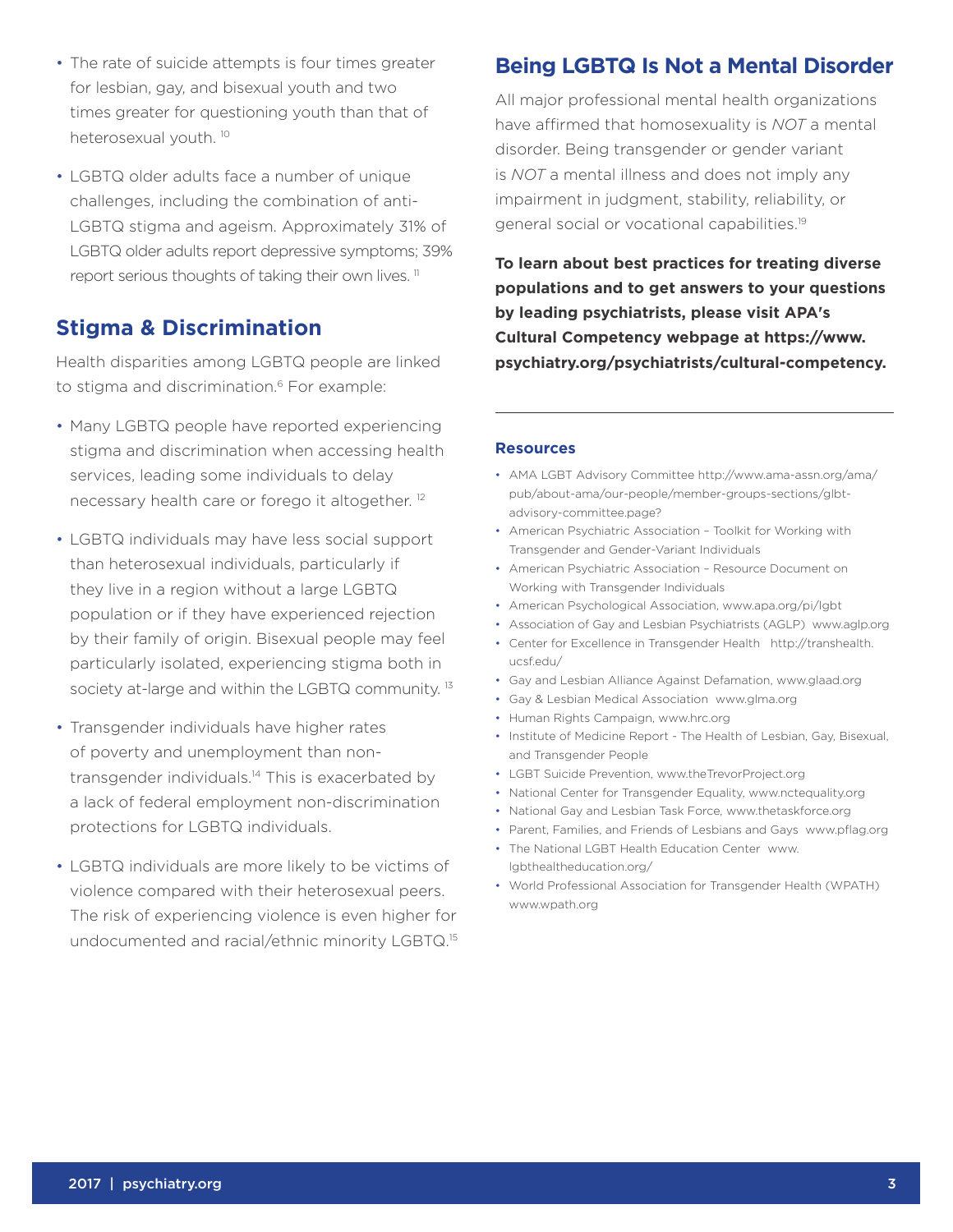- The rate of suicide attempts is four times greater for lesbian, gay, and bisexual youth and two times greater for questioning youth than that of heterosexual youth.<sup>10</sup>
- LGBTQ older adults face a number of unique challenges, including the combination of anti-LGBTQ stigma and ageism. Approximately 31% of LGBTQ older adults report depressive symptoms; 39% report serious thoughts of taking their own lives.<sup>11</sup>

### **Stigma & Discrimination**

Health disparities among LGBTQ people are linked to stigma and discrimination.<sup>6</sup> For example:

- Many LGBTQ people have reported experiencing stigma and discrimination when accessing health services, leading some individuals to delay necessary health care or forego it altogether. 12
- LGBTQ individuals may have less social support than heterosexual individuals, particularly if they live in a region without a large LGBTQ population or if they have experienced rejection by their family of origin. Bisexual people may feel particularly isolated, experiencing stigma both in society at-large and within the LGBTQ community.<sup>13</sup>
- Transgender individuals have higher rates of poverty and unemployment than nontransgender individuals.14 This is exacerbated by a lack of federal employment non-discrimination protections for LGBTQ individuals.
- LGBTQ individuals are more likely to be victims of violence compared with their heterosexual peers. The risk of experiencing violence is even higher for undocumented and racial/ethnic minority LGBTQ.15

## **Being LGBTQ Is Not a Mental Disorder**

All major professional mental health organizations have affirmed that homosexuality is *NOT* a mental disorder. Being transgender or gender variant is *NOT* a mental illness and does not imply any impairment in judgment, stability, reliability, or general social or vocational capabilities.19

**To learn about best practices for treating diverse populations and to get answers to your questions by leading psychiatrists, please visit APA's Cultural Competency webpage at https://www. psychiatry.org/psychiatrists/cultural-competency.** 

### **Resources**

- AMA LGBT Advisory Committee http://www.ama-assn.org/ama/ pub/about-ama/our-people/member-groups-sections/glbtadvisory-committee.page?
- American Psychiatric Association Toolkit for Working with Transgender and Gender-Variant Individuals
- American Psychiatric Association Resource Document on Working with Transgender Individuals
- American Psychological Association, www.apa.org/pi/lgbt
- Association of Gay and Lesbian Psychiatrists (AGLP) www.aglp.org
- Center for Excellence in Transgender Health http://transhealth. ucsf.edu/
- Gay and Lesbian Alliance Against Defamation, www.glaad.org
- Gay & Lesbian Medical Association www.glma.org
- Human Rights Campaign, www.hrc.org
- Institute of Medicine Report The Health of Lesbian, Gay, Bisexual, and Transgender People
- LGBT Suicide Prevention, www.theTrevorProject.org
- National Center for Transgender Equality, www.nctequality.org
- National Gay and Lesbian Task Force, www.thetaskforce.org
- Parent, Families, and Friends of Lesbians and Gays www.pflag.org
- The National LGBT Health Education Center www. lgbthealtheducation.org/
- World Professional Association for Transgender Health (WPATH) www.wpath.org